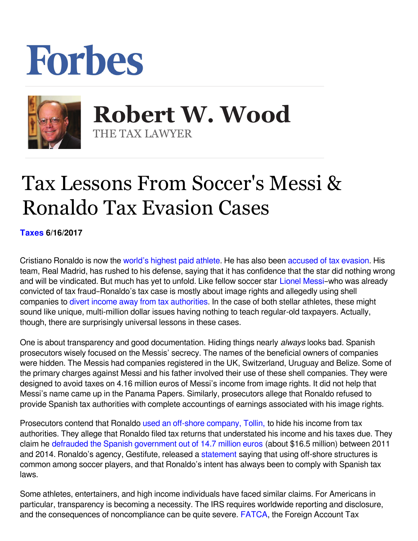## Forbes



 **Robert W. Wood** THE TAX LAWYER

## Tax Lessons From Soccer's Messi & Ronaldo Tax Evasion Cases

**[Taxes](https://www.forbes.com/taxes) 6/16/2017** 

Cristiano Ronaldo is now the [world's highest paid athlete](https://www.forbes.com/athletes/list/). He has also been [accused of tax evasion.](https://www.reuters.com/article/us-soccer-taxation-ronaldo-idUSKBN1942RJ) His team, Real Madrid, has rushed to his defense, saying that it has confidence that the star did nothing wrong and will be vindicated. But much has yet to unfold. Like fellow soccer star [Lionel Messi](http://www.forbes.com/profile/lionel-messi/)-who was already convicted of tax fraud–Ronaldo's tax case is mostly about image rights and allegedly using shell companies to [divert income away from tax authorities](https://www.si.com/planet-futbol/2017/06/15/cristiano-ronaldo-tax-fraud-spain-beckham-law-real-madrid-messi-neymar). In the case of both stellar athletes, these might sound like unique, multi-million dollar issues having nothing to teach regular-old taxpayers. Actually, though, there are surprisingly universal lessons in these cases.

One is about transparency and good documentation. Hiding things nearly *always* looks bad. Spanish prosecutors wisely focused on the Messis' secrecy. The names of the beneficial owners of companies were hidden. The Messis had companies registered in the UK, Switzerland, Uruguay and Belize. Some of the primary charges against Messi and his father involved their use of these shell companies. They were designed to avoid taxes on 4.16 million euros of Messi's income from image rights. It did not help that Messi's name came up in the Panama Papers. Similarly, prosecutors allege that Ronaldo refused to provide Spanish tax authorities with complete accountings of earnings associated with his image rights.

Prosecutors contend that Ronaldo [used an off-shore company, Tollin,](http://www.espnfc.com/real-madrid/story/3143988/real-madrids-cristiano-ronaldo-vows-to-quiet-over-tax-fraud-allegations) to hide his income from tax authorities. They allege that Ronaldo filed tax returns that understated his income and his taxes due. They claim he [defrauded the Spanish government out of 14.7 million euros](https://www.si.com/planet-futbol/2017/06/13/cristiano-ronaldo-tax-fraud-charges) (about \$16.5 million) between 2011 and 2014. Ronaldo's agency, Gestifute, released a statement saying that using off-shore structures is common among soccer players, and that Ronaldo's intent has always been to comply with Spanish tax laws.

Some athletes, entertainers, and high income individuals have faced similar claims. For Americans in particular, transparency is becoming a necessity. The IRS requires worldwide reporting and disclosure, and the consequences of noncompliance can be quite severe. **FATCA**, the Foreign Account Tax